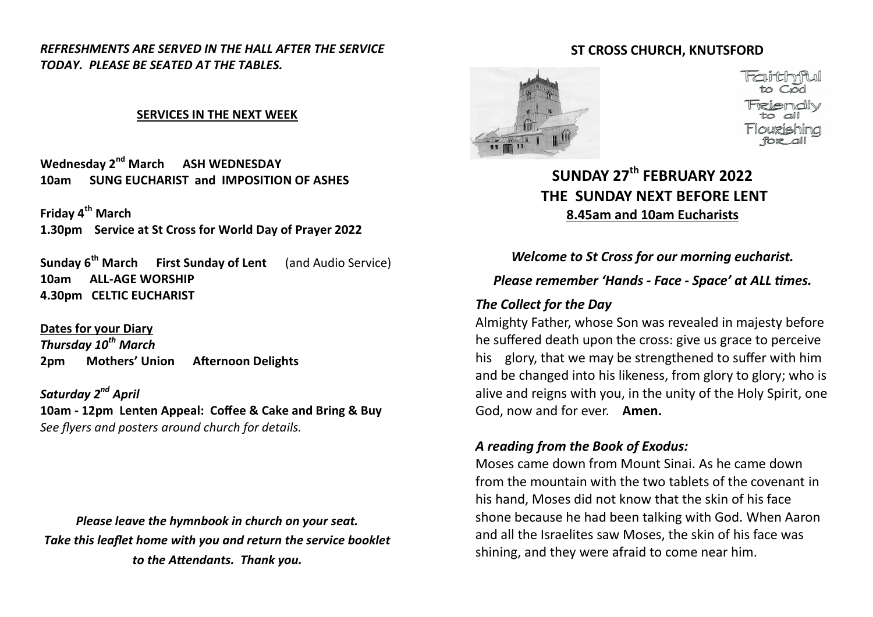*REFRESHMENTS ARE SERVED IN THE HALL AFTER THE SERVICE TODAY. PLEASE BE SEATED AT THE TABLES.*

#### **SERVICES IN THE NEXT WEEK**

**Wednesday 2nd March ASH WEDNESDAY 10am SUNG EUCHARIST and IMPOSITION OF ASHES**

**Friday 4th March 1.30pm Service at St Cross for World Day of Prayer 2022** 

**Sunday 6th March First Sunday of Lent** (and Audio Service) **10am ALL-AGE WORSHIP 4.30pm CELTIC EUCHARIST** 

**Dates for your Diary** *Thursday 10th March* **2pm Mothers' Union Afternoon Delights**

*Saturday 2nd April* **10am - 12pm Lenten Appeal: Coffee & Cake and Bring & Buy** *See flyers and posters around church for details.*

*Please leave the hymnbook in church on your seat. Take this leaflet home with you and return the service booklet to the Attendants. Thank you.*

#### **ST CROSS CHURCH, KNUTSFORD**



**SUNDAY 27th FEBRUARY 2022 THE SUNDAY NEXT BEFORE LENT 8.45am and 10am Eucharists**

*Welcome to St Cross for our morning eucharist.* 

## *Please remember 'Hands - Face - Space' at ALL times.*

#### *The Collect for the Day*

Almighty Father, whose Son was revealed in majesty before he suffered death upon the cross: give us grace to perceive his glory, that we may be strengthened to suffer with him and be changed into his likeness, from glory to glory; who is alive and reigns with you, in the unity of the Holy Spirit, one God, now and for ever. **Amen.** 

## *A reading from the Book of Exodus:*

Moses came down from Mount Sinai. As he came down from the mountain with the two tablets of the covenant in his hand, Moses did not know that the skin of his face shone because he had been talking with God. When Aaron and all the Israelites saw Moses, the skin of his face was shining, and they were afraid to come near him.